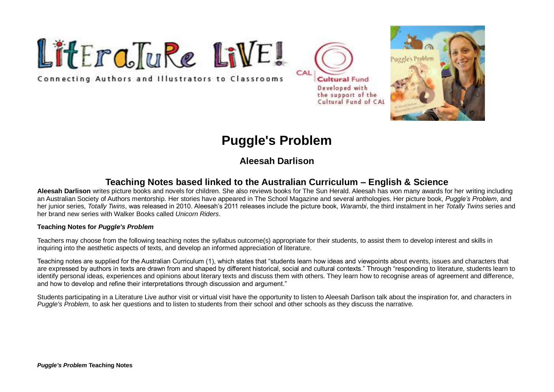

Connecting Authors and Illustrators to Classrooms





# **Puggle's Problem**

## **Aleesah Darlison**

## **Teaching Notes based linked to the Australian Curriculum – English & Science**

**Aleesah Darlison** writes picture books and novels for children. She also reviews books for The Sun Herald. Aleesah has won many awards for her writing including an Australian Society of Authors mentorship. Her stories have appeared in The School Magazine and several anthologies. Her picture book, *Puggle's Problem*, and her junior series, *Totally Twins*, was released in 2010. Aleesah's 2011 releases include the picture book, *Warambi*, the third instalment in her *Totally Twins* series and her brand new series with Walker Books called *Unicorn Riders*.

#### **Teaching Notes for** *Puggle's Problem*

Teachers may choose from the following teaching notes the syllabus outcome(s) appropriate for their students, to assist them to develop interest and skills in inquiring into the aesthetic aspects of texts, and develop an informed appreciation of literature.

Teaching notes are supplied for the Australian Curriculum (1), which states that "students learn how ideas and viewpoints about events, issues and characters that are expressed by authors in texts are drawn from and shaped by different historical, social and cultural contexts." Through "responding to literature, students learn to identify personal ideas, experiences and opinions about literary texts and discuss them with others. They learn how to recognise areas of agreement and difference, and how to develop and refine their interpretations through discussion and argument."

Students participating in a Literature Live author visit or virtual visit have the opportunity to listen to Aleesah Darlison talk about the inspiration for, and characters in *Puggle's Problem,* to ask her questions and to listen to students from their school and other schools as they discuss the narrative.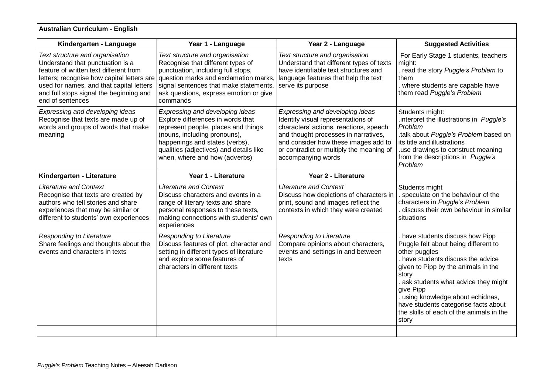| <b>Australian Curriculum - English</b>                                                                                                                                                                                                                                 |                                                                                                                                                                                                                                                           |                                                                                                                                                                                                                                                                   |                                                                                                                                                                                                                                                                                                                                                                   |  |  |
|------------------------------------------------------------------------------------------------------------------------------------------------------------------------------------------------------------------------------------------------------------------------|-----------------------------------------------------------------------------------------------------------------------------------------------------------------------------------------------------------------------------------------------------------|-------------------------------------------------------------------------------------------------------------------------------------------------------------------------------------------------------------------------------------------------------------------|-------------------------------------------------------------------------------------------------------------------------------------------------------------------------------------------------------------------------------------------------------------------------------------------------------------------------------------------------------------------|--|--|
| Kindergarten - Language                                                                                                                                                                                                                                                | Year 1 - Language                                                                                                                                                                                                                                         | Year 2 - Language                                                                                                                                                                                                                                                 | <b>Suggested Activities</b>                                                                                                                                                                                                                                                                                                                                       |  |  |
| Text structure and organisation<br>Understand that punctuation is a<br>feature of written text different from<br>letters; recognise how capital letters are<br>used for names, and that capital letters<br>and full stops signal the beginning and<br>end of sentences | Text structure and organisation<br>Recognise that different types of<br>punctuation, including full stops,<br>question marks and exclamation marks,<br>signal sentences that make statements,<br>ask questions, express emotion or give<br>commands       | Text structure and organisation<br>Understand that different types of texts<br>have identifiable text structures and<br>language features that help the text<br>serve its purpose                                                                                 | For Early Stage 1 students, teachers<br>might:<br>. read the story Puggle's Problem to<br>them<br>where students are capable have<br>them read Puggle's Problem                                                                                                                                                                                                   |  |  |
| Expressing and developing ideas<br>Recognise that texts are made up of<br>words and groups of words that make<br>meaning                                                                                                                                               | Expressing and developing ideas<br>Explore differences in words that<br>represent people, places and things<br>(nouns, including pronouns),<br>happenings and states (verbs),<br>qualities (adjectives) and details like<br>when, where and how (adverbs) | Expressing and developing ideas<br>Identify visual representations of<br>characters' actions, reactions, speech<br>and thought processes in narratives,<br>and consider how these images add to<br>or contradict or multiply the meaning of<br>accompanying words | Students might:<br>interpret the illustrations in Puggle's<br>Problem<br>talk about Puggle's Problem based on<br>its title and illustrations<br>use drawings to construct meaning<br>from the descriptions in Puggle's<br>Problem                                                                                                                                 |  |  |
| Kindergarten - Literature                                                                                                                                                                                                                                              | Year 1 - Literature                                                                                                                                                                                                                                       | Year 2 - Literature                                                                                                                                                                                                                                               |                                                                                                                                                                                                                                                                                                                                                                   |  |  |
| <b>Literature and Context</b><br>Recognise that texts are created by<br>authors who tell stories and share<br>experiences that may be similar or<br>different to students' own experiences                                                                             | <b>Literature and Context</b><br>Discuss characters and events in a<br>range of literary texts and share<br>personal responses to these texts,<br>making connections with students' own<br>experiences                                                    | <b>Literature and Context</b><br>Discuss how depictions of characters in<br>print, sound and images reflect the<br>contexts in which they were created                                                                                                            | Students might<br>speculate on the behaviour of the<br>characters in Puggle's Problem<br>discuss their own behaviour in similar<br>situations                                                                                                                                                                                                                     |  |  |
| Responding to Literature<br>Share feelings and thoughts about the<br>events and characters in texts                                                                                                                                                                    | Responding to Literature<br>Discuss features of plot, character and<br>setting in different types of literature<br>and explore some features of<br>characters in different texts                                                                          | Responding to Literature<br>Compare opinions about characters,<br>events and settings in and between<br>texts                                                                                                                                                     | have students discuss how Pipp<br>Puggle felt about being different to<br>other puggles<br>have students discuss the advice<br>given to Pipp by the animals in the<br>story<br>ask students what advice they might<br>give Pipp<br>. using knowledge about echidnas,<br>have students categorise facts about<br>the skills of each of the animals in the<br>story |  |  |
|                                                                                                                                                                                                                                                                        |                                                                                                                                                                                                                                                           |                                                                                                                                                                                                                                                                   |                                                                                                                                                                                                                                                                                                                                                                   |  |  |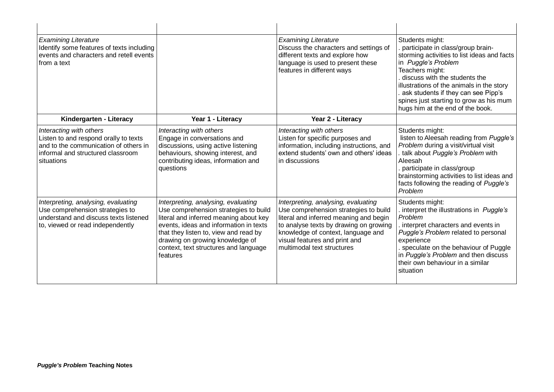| <b>Examining Literature</b><br>Identify some features of texts including<br>events and characters and retell events<br>from a text                           |                                                                                                                                                                                                                                                                                                   | <b>Examining Literature</b><br>Discuss the characters and settings of<br>different texts and explore how<br>language is used to present these<br>features in different ways                                                                                           | Students might:<br>. participate in class/group brain-<br>storming activities to list ideas and facts<br>in Puggle's Problem<br>Teachers might:<br>discuss with the students the<br>illustrations of the animals in the story<br>ask students if they can see Pipp's<br>spines just starting to grow as his mum<br>hugs him at the end of the book. |
|--------------------------------------------------------------------------------------------------------------------------------------------------------------|---------------------------------------------------------------------------------------------------------------------------------------------------------------------------------------------------------------------------------------------------------------------------------------------------|-----------------------------------------------------------------------------------------------------------------------------------------------------------------------------------------------------------------------------------------------------------------------|-----------------------------------------------------------------------------------------------------------------------------------------------------------------------------------------------------------------------------------------------------------------------------------------------------------------------------------------------------|
| Kindergarten - Literacy                                                                                                                                      | Year 1 - Literacy                                                                                                                                                                                                                                                                                 | Year 2 - Literacy                                                                                                                                                                                                                                                     |                                                                                                                                                                                                                                                                                                                                                     |
| Interacting with others<br>Listen to and respond orally to texts<br>and to the communication of others in<br>informal and structured classroom<br>situations | Interacting with others<br>Engage in conversations and<br>discussions, using active listening<br>behaviours, showing interest, and<br>contributing ideas, information and<br>questions                                                                                                            | Interacting with others<br>Listen for specific purposes and<br>information, including instructions, and<br>extend students' own and others' ideas<br>in discussions                                                                                                   | Students might:<br>listen to Aleesah reading from Puggle's<br>Problem during a visit/virtual visit<br>talk about Puggle's Problem with<br>Aleesah<br>participate in class/group<br>brainstorming activities to list ideas and<br>facts following the reading of Puggle's<br>Problem                                                                 |
| Interpreting, analysing, evaluating<br>Use comprehension strategies to<br>understand and discuss texts listened<br>to, viewed or read independently          | Interpreting, analysing, evaluating<br>Use comprehension strategies to build<br>literal and inferred meaning about key<br>events, ideas and information in texts<br>that they listen to, view and read by<br>drawing on growing knowledge of<br>context, text structures and language<br>features | Interpreting, analysing, evaluating<br>Use comprehension strategies to build<br>literal and inferred meaning and begin<br>to analyse texts by drawing on growing<br>knowledge of context, language and<br>visual features and print and<br>multimodal text structures | Students might:<br>. interpret the illustrations in Puggle's<br>Problem<br>. interpret characters and events in<br>Puggle's Problem related to personal<br>experience<br>speculate on the behaviour of Puggle<br>in Puggle's Problem and then discuss<br>their own behaviour in a similar<br>situation                                              |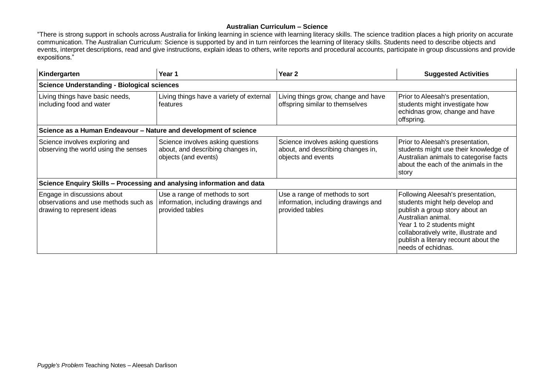#### **Australian Curriculum – Science**

"There is strong support in schools across Australia for linking learning in science with learning literacy skills. The science tradition places a high priority on accurate communication. The Australian Curriculum: Science is supported by and in turn reinforces the learning of literacy skills. Students need to describe objects and events, interpret descriptions, read and give instructions, explain ideas to others, write reports and procedural accounts, participate in group discussions and provide expositions."

| Kindergarten                                                                                      | Year 1                                                                                         | Year 2                                                                                       | <b>Suggested Activities</b>                                                                                                                                                                                                                                       |  |  |  |
|---------------------------------------------------------------------------------------------------|------------------------------------------------------------------------------------------------|----------------------------------------------------------------------------------------------|-------------------------------------------------------------------------------------------------------------------------------------------------------------------------------------------------------------------------------------------------------------------|--|--|--|
| <b>Science Understanding - Biological sciences</b>                                                |                                                                                                |                                                                                              |                                                                                                                                                                                                                                                                   |  |  |  |
| Living things have basic needs,<br>including food and water                                       | Living things have a variety of external<br>features                                           | Living things grow, change and have<br>offspring similar to themselves                       | Prior to Aleesah's presentation,<br>students might investigate how<br>echidnas grow, change and have<br>offspring.                                                                                                                                                |  |  |  |
| Science as a Human Endeavour - Nature and development of science                                  |                                                                                                |                                                                                              |                                                                                                                                                                                                                                                                   |  |  |  |
| Science involves exploring and<br>observing the world using the senses                            | Science involves asking questions<br>about, and describing changes in,<br>objects (and events) | Science involves asking questions<br>about, and describing changes in,<br>objects and events | Prior to Aleesah's presentation,<br>students might use their knowledge of<br>Australian animals to categorise facts<br>about the each of the animals in the<br>story                                                                                              |  |  |  |
| Science Enquiry Skills - Processing and analysing information and data                            |                                                                                                |                                                                                              |                                                                                                                                                                                                                                                                   |  |  |  |
| Engage in discussions about<br>observations and use methods such as<br>drawing to represent ideas | Use a range of methods to sort<br>information, including drawings and<br>provided tables       | Use a range of methods to sort<br>information, including drawings and<br>provided tables     | Following Aleesah's presentation,<br>students might help develop and<br>publish a group story about an<br>Australian animal.<br>Year 1 to 2 students might<br>collaboratively write, illustrate and<br>publish a literary recount about the<br>needs of echidnas. |  |  |  |